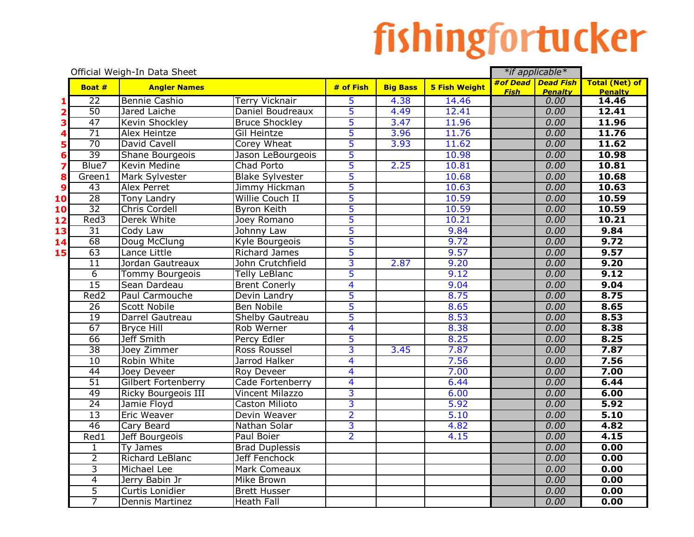## fishingfortucker

|    |                  | Official Weigh-In Data Sheet |                        |                         |                 |                      |             | *if applicable*                      |                                         |
|----|------------------|------------------------------|------------------------|-------------------------|-----------------|----------------------|-------------|--------------------------------------|-----------------------------------------|
|    | Boat #           | <b>Angler Names</b>          |                        | # of Fish               | <b>Big Bass</b> | <b>5 Fish Weight</b> | <b>Fish</b> | #of Dead Dead Fish<br><b>Penalty</b> | <b>Total (Net) of</b><br><b>Penalty</b> |
|    | 22               | <b>Bennie Cashio</b>         | <b>Terry Vicknair</b>  | 5                       | 4.38            | 14.46                |             | 0.00                                 | 14.46                                   |
|    | 50               | Jared Laiche                 | Daniel Boudreaux       | $\overline{5}$          | 4.49            | 12.41                |             | 0.00                                 | 12.41                                   |
|    | 47               | Kevin Shockley               | <b>Bruce Shockley</b>  | 5                       | 3.47            | 11.96                |             | 0.00                                 | 11.96                                   |
|    | $\overline{71}$  | Alex Heintze                 | Gil Heintze            | 5                       | 3.96            | 11.76                |             | 0.00                                 | 11.76                                   |
|    | $\overline{70}$  | David Cavell                 | Corey Wheat            | 5                       | 3.93            | 11.62                |             | 0.00                                 | 11.62                                   |
|    | 39               | Shane Bourgeois              | Jason LeBourgeois      | 5                       |                 | 10.98                |             | 0.00                                 | 10.98                                   |
| 7  | Blue7            | Kevin Medine                 | Chad Porto             | 5                       | 2.25            | 10.81                |             | 0.00                                 | 10.81                                   |
| 8  | Green1           | Mark Sylvester               | <b>Blake Sylvester</b> | 5                       |                 | 10.68                |             | 0.00                                 | 10.68                                   |
| 9  | 43               | <b>Alex Perret</b>           | Jimmy Hickman          | 5                       |                 | 10.63                |             | 0.00                                 | 10.63                                   |
| 10 | $\overline{28}$  | <b>Tony Landry</b>           | Willie Couch II        | 5                       |                 | 10.59                |             | 0.00                                 | 10.59                                   |
| 10 | $\overline{32}$  | <b>Chris Cordell</b>         | <b>Byron Keith</b>     | 5                       |                 | 10.59                |             | 0.00                                 | 10.59                                   |
| 12 | Red3             | Derek White                  | Joey Romano            | 5                       |                 | 10.21                |             | 0.00                                 | 10.21                                   |
| 13 | $\overline{31}$  | Cody Law                     | Johnny Law             | 5                       |                 | 9.84                 |             | 0.00                                 | 9.84                                    |
| 14 | 68               | Doug McClung                 | Kyle Bourgeois         | 5                       |                 | 9.72                 |             | 0.00                                 | 9.72                                    |
| 15 | 63               | Lance Little                 | <b>Richard James</b>   | 5                       |                 | 9.57                 |             | 0.00                                 | 9.57                                    |
|    | $\overline{11}$  | Jordan Gautreaux             | John Crutchfield       | 3                       | 2.87            | 9.20                 |             | 0.00                                 | 9.20                                    |
|    | $\overline{6}$   | <b>Tommy Bourgeois</b>       | <b>Telly LeBlanc</b>   | 5                       |                 | 9.12                 |             | 0.00                                 | 9.12                                    |
|    | 15               | Sean Dardeau                 | <b>Brent Conerly</b>   | $\overline{\mathbf{4}}$ |                 | 9.04                 |             | 0.00                                 | 9.04                                    |
|    | Red <sub>2</sub> | Paul Carmouche               | Devin Landry           | 5                       |                 | 8.75                 |             | 0.00                                 | 8.75                                    |
|    | $\overline{26}$  | <b>Scott Nobile</b>          | <b>Ben Nobile</b>      | 5                       |                 | 8.65                 |             | 0.00                                 | 8.65                                    |
|    | $\overline{19}$  | Darrel Gautreau              | <b>Shelby Gautreau</b> | 5                       |                 | 8.53                 |             | 0.00                                 | 8.53                                    |
|    | 67               | <b>Bryce Hill</b>            | Rob Werner             | $\overline{\mathbf{4}}$ |                 | 8.38                 |             | 0.00                                 | 8.38                                    |
|    | 66               | <b>Jeff Smith</b>            | Percy Edler            | 5                       |                 | 8.25                 |             | 0.00                                 | 8.25                                    |
|    | 38               | Joey Zimmer                  | Ross Roussel           | 3                       | 3.45            | 7.87                 |             | 0.00                                 | 7.87                                    |
|    | 10               | Robin White                  | Jarrod Halker          | $\overline{4}$          |                 | 7.56                 |             | 0.00                                 | 7.56                                    |
|    | $\overline{44}$  | Joey Deveer                  | Roy Deveer             | $\overline{4}$          |                 | 7.00                 |             | 0.00                                 | 7.00                                    |
|    | $\overline{51}$  | Gilbert Fortenberry          | Cade Fortenberry       | $\overline{\mathbf{4}}$ |                 | 6.44                 |             | 0.00                                 | 6.44                                    |
|    | 49               | Ricky Bourgeois III          | Vincent Milazzo        | 3                       |                 | 6.00                 |             | 0.00                                 | 6.00                                    |
|    | $\overline{24}$  | Jamie Floyd                  | Caston Milioto         | 3                       |                 | 5.92                 |             | 0.00                                 | 5.92                                    |
|    | $\overline{13}$  | <b>Eric Weaver</b>           | Devin Weaver           | $\overline{2}$          |                 | 5.10                 |             | 0.00                                 | 5.10                                    |
|    | 46               | Cary Beard                   | Nathan Solar           | $\overline{3}$          |                 | 4.82                 |             | 0.00                                 | 4.82                                    |
|    | Red1             | Jeff Bourgeois               | Paul Boier             | $\overline{2}$          |                 | 4.15                 |             | 0.00                                 | 4.15                                    |
|    | $\mathbf{1}$     | Ty James                     | <b>Brad Duplessis</b>  |                         |                 |                      |             | 0.00                                 | 0.00                                    |
|    | $\overline{2}$   | Richard LeBlanc              | Jeff Fenchock          |                         |                 |                      |             | 0.00                                 | 0.00                                    |
|    | 3                | Michael Lee                  | Mark Comeaux           |                         |                 |                      |             | 0.00                                 | 0.00                                    |
|    | $\overline{4}$   | Jerry Babin Jr               | <b>Mike Brown</b>      |                         |                 |                      |             | 0.00                                 | 0.00                                    |
|    | $\overline{5}$   | Curtis Lonidier              | <b>Brett Husser</b>    |                         |                 |                      |             | 0.00                                 | 0.00                                    |
|    | 7                | <b>Dennis Martinez</b>       | <b>Heath Fall</b>      |                         |                 |                      |             | 0.00                                 | 0.00                                    |